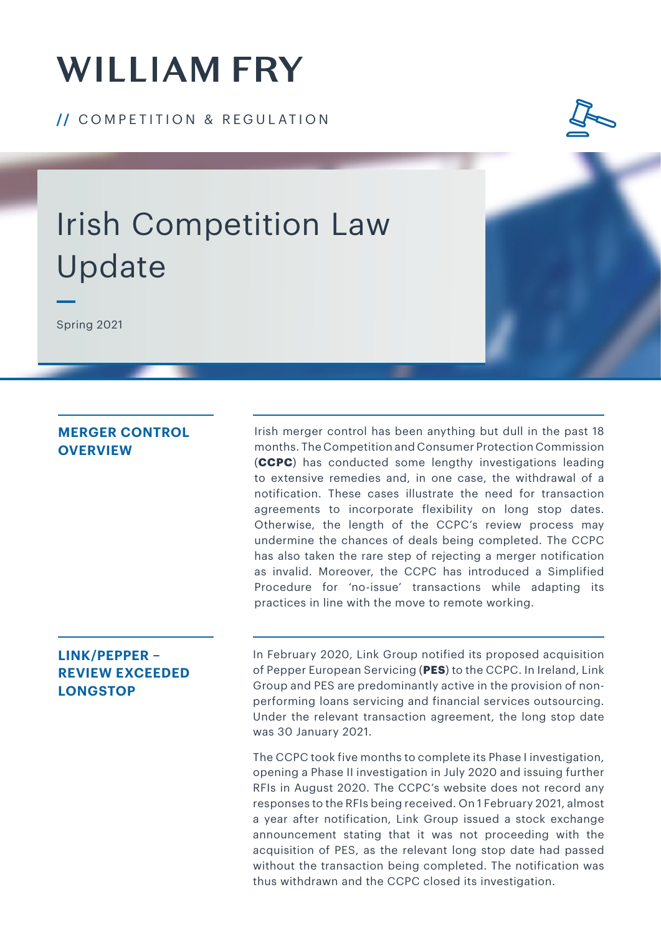# **WILLIAM FRY**

**/ /** COMPETITION & REGULATION



## Irish Competition Law Update

Spring 2021

### **MERGER CONTROL OVERVIEW**

Irish merger control has been anything but dull in the past 18 months. The Competition and Consumer Protection Commission (**CCPC**) has conducted some lengthy investigations leading to extensive remedies and, in one case, the withdrawal of a notification. These cases illustrate the need for transaction agreements to incorporate flexibility on long stop dates. Otherwise, the length of the CCPC's review process may undermine the chances of deals being completed. The CCPC has also taken the rare step of rejecting a merger notification as invalid. Moreover, the CCPC has introduced a Simplified Procedure for 'no-issue' transactions while adapting its practices in line with the move to remote working.

### **LINK/PEPPER – REVIEW EXCEEDED LONGSTOP**

In February 2020, Link Group notified its proposed acquisition of Pepper European Servicing (**PES**) to the CCPC. In Ireland, Link Group and PES are predominantly active in the provision of nonperforming loans servicing and financial services outsourcing. Under the relevant transaction agreement, the long stop date was 30 January 2021.

The CCPC took five months to complete its Phase I investigation, opening a Phase II investigation in July 2020 and issuing further RFIs in August 2020. The CCPC's website does not record any responses to the RFIs being received. On 1 February 2021, almost a year after notification, Link Group issued a stock exchange announcement stating that it was not proceeding with the acquisition of PES, as the relevant long stop date had passed without the transaction being completed. The notification was thus withdrawn and the CCPC closed its investigation.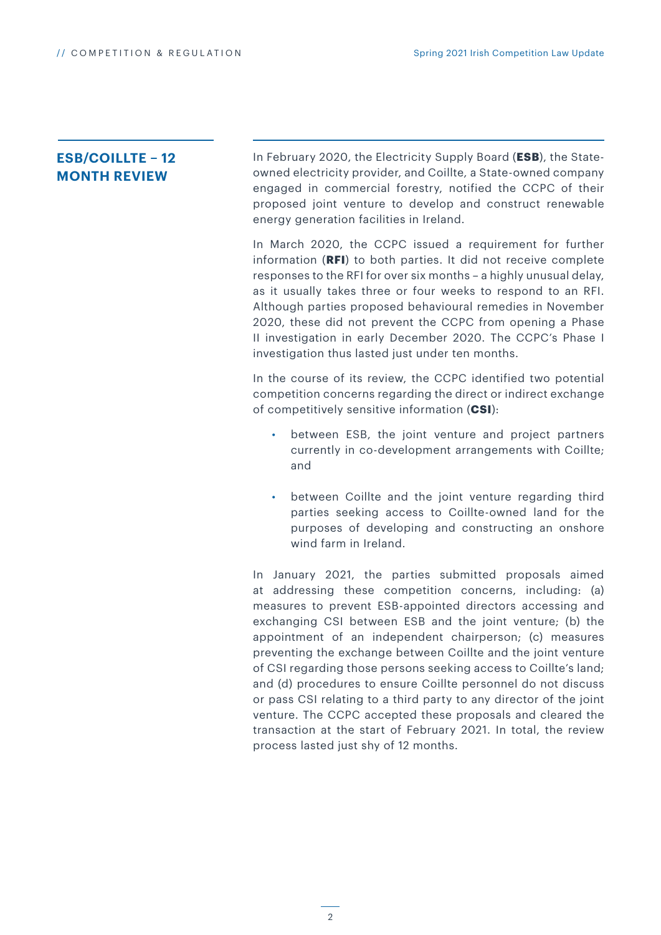### **ESB/COILLTE – 12 MONTH REVIEW**

In February 2020, the Electricity Supply Board (**ESB**), the Stateowned electricity provider, and Coillte*,* a State-owned company engaged in commercial forestry, notified the CCPC of their proposed joint venture to develop and construct renewable energy generation facilities in Ireland.

In March 2020, the CCPC issued a requirement for further information (**RFI**) to both parties. It did not receive complete responses to the RFI for over six months – a highly unusual delay, as it usually takes three or four weeks to respond to an RFI. Although parties proposed behavioural remedies in November 2020, these did not prevent the CCPC from opening a Phase II investigation in early December 2020. The CCPC's Phase I investigation thus lasted just under ten months.

In the course of its review, the CCPC identified two potential competition concerns regarding the direct or indirect exchange of competitively sensitive information (**CSI**):

- between ESB, the joint venture and project partners currently in co-development arrangements with Coillte; and
- between Coillte and the joint venture regarding third parties seeking access to Coillte-owned land for the purposes of developing and constructing an onshore wind farm in Ireland.

In January 2021, the parties submitted proposals aimed at addressing these competition concerns, including: (a) measures to prevent ESB-appointed directors accessing and exchanging CSI between ESB and the joint venture; (b) the appointment of an independent chairperson; (c) measures preventing the exchange between Coillte and the joint venture of CSI regarding those persons seeking access to Coillte's land; and (d) procedures to ensure Coillte personnel do not discuss or pass CSI relating to a third party to any director of the joint venture. The CCPC accepted these proposals and cleared the transaction at the start of February 2021. In total, the review process lasted just shy of 12 months.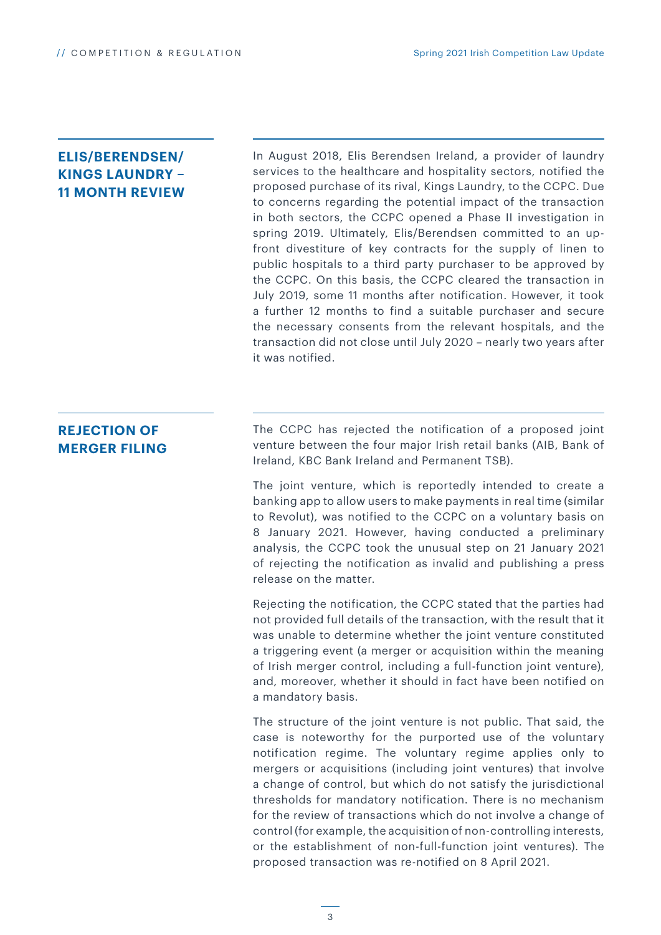### **ELIS/BERENDSEN/ KINGS LAUNDRY – 11 MONTH REVIEW**

In August 2018, Elis Berendsen Ireland, a provider of laundry services to the healthcare and hospitality sectors, notified the proposed purchase of its rival, Kings Laundry, to the CCPC. Due to concerns regarding the potential impact of the transaction in both sectors, the CCPC opened a Phase II investigation in spring 2019. Ultimately, Elis/Berendsen committed to an upfront divestiture of key contracts for the supply of linen to public hospitals to a third party purchaser to be approved by the CCPC. On this basis, the CCPC cleared the transaction in July 2019, some 11 months after notification. However, it took a further 12 months to find a suitable purchaser and secure the necessary consents from the relevant hospitals, and the transaction did not close until July 2020 – nearly two years after it was notified.

### **REJECTION OF MERGER FILING**

The CCPC has rejected the notification of a proposed joint venture between the four major Irish retail banks (AIB, Bank of Ireland, KBC Bank Ireland and Permanent TSB).

The joint venture, which is reportedly intended to create a banking app to allow users to make payments in real time (similar to Revolut), was notified to the CCPC on a voluntary basis on 8 January 2021. However, having conducted a preliminary analysis, the CCPC took the unusual step on 21 January 2021 of rejecting the notification as invalid and publishing a press release on the matter.

Rejecting the notification, the CCPC stated that the parties had not provided full details of the transaction, with the result that it was unable to determine whether the joint venture constituted a triggering event (a merger or acquisition within the meaning of Irish merger control, including a full-function joint venture), and, moreover, whether it should in fact have been notified on a mandatory basis.

The structure of the joint venture is not public. That said, the case is noteworthy for the purported use of the voluntary notification regime. The voluntary regime applies only to mergers or acquisitions (including joint ventures) that involve a change of control, but which do not satisfy the jurisdictional thresholds for mandatory notification. There is no mechanism for the review of transactions which do not involve a change of control (for example, the acquisition of non-controlling interests, or the establishment of non-full-function joint ventures). The proposed transaction was re-notified on 8 April 2021.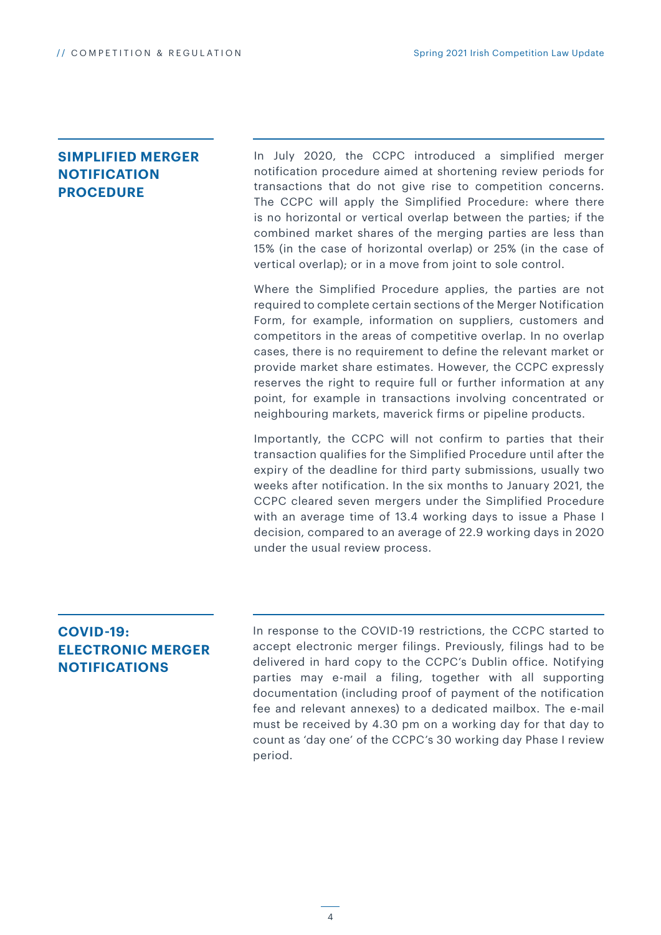### **SIMPLIFIED MERGER NOTIFICATION PROCEDURE**

In July 2020, the CCPC introduced a simplified merger notification procedure aimed at shortening review periods for transactions that do not give rise to competition concerns. The CCPC will apply the Simplified Procedure: where there is no horizontal or vertical overlap between the parties; if the combined market shares of the merging parties are less than 15% (in the case of horizontal overlap) or 25% (in the case of vertical overlap); or in a move from joint to sole control.

Where the Simplified Procedure applies, the parties are not required to complete certain sections of the Merger Notification Form, for example, information on suppliers, customers and competitors in the areas of competitive overlap. In no overlap cases, there is no requirement to define the relevant market or provide market share estimates. However, the CCPC expressly reserves the right to require full or further information at any point, for example in transactions involving concentrated or neighbouring markets, maverick firms or pipeline products.

Importantly, the CCPC will not confirm to parties that their transaction qualifies for the Simplified Procedure until after the expiry of the deadline for third party submissions, usually two weeks after notification. In the six months to January 2021, the CCPC cleared seven mergers under the Simplified Procedure with an average time of 13.4 working days to issue a Phase I decision, compared to an average of 22.9 working days in 2020 under the usual review process.

### **COVID-19: ELECTRONIC MERGER NOTIFICATIONS**

In response to the COVID-19 restrictions, the CCPC started to accept electronic merger filings. Previously, filings had to be delivered in hard copy to the CCPC's Dublin office. Notifying parties may e-mail a filing, together with all supporting documentation (including proof of payment of the notification fee and relevant annexes) to a dedicated mailbox. The e-mail must be received by 4.30 pm on a working day for that day to count as 'day one' of the CCPC's 30 working day Phase I review period.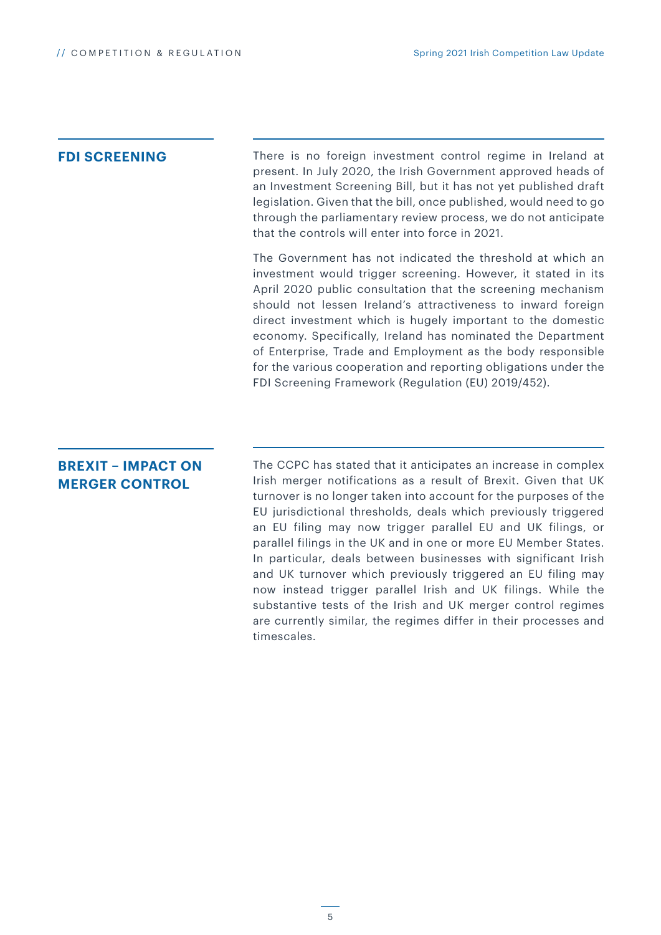**FDI SCREENING** There is no foreign investment control regime in Ireland at present. In July 2020, the Irish Government approved heads of an Investment Screening Bill, but it has not yet published draft legislation. Given that the bill, once published, would need to go through the parliamentary review process, we do not anticipate that the controls will enter into force in 2021.

> The Government has not indicated the threshold at which an investment would trigger screening. However, it stated in its April 2020 public consultation that the screening mechanism should not lessen Ireland's attractiveness to inward foreign direct investment which is hugely important to the domestic economy. Specifically, Ireland has nominated the Department of Enterprise, Trade and Employment as the body responsible for the various cooperation and reporting obligations under the FDI Screening Framework (Regulation (EU) 2019/452).

### **BREXIT – IMPACT ON MERGER CONTROL**

The CCPC has stated that it anticipates an increase in complex Irish merger notifications as a result of Brexit. Given that UK turnover is no longer taken into account for the purposes of the EU jurisdictional thresholds, deals which previously triggered an EU filing may now trigger parallel EU and UK filings, or parallel filings in the UK and in one or more EU Member States. In particular, deals between businesses with significant Irish and UK turnover which previously triggered an EU filing may now instead trigger parallel Irish and UK filings. While the substantive tests of the Irish and UK merger control regimes are currently similar, the regimes differ in their processes and timescales.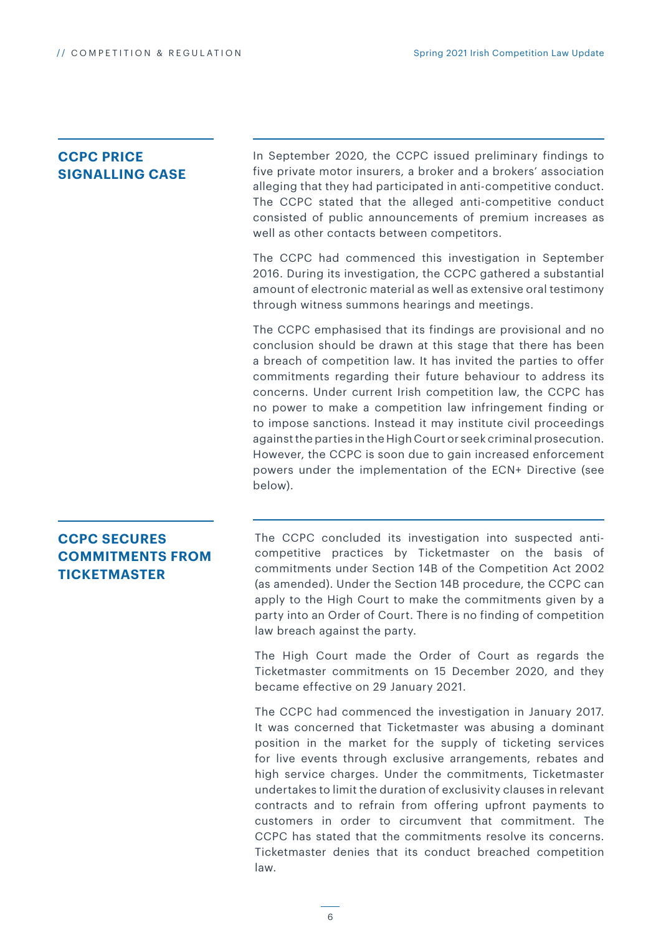### **CCPC PRICE SIGNALLING CASE**

In September 2020, the CCPC issued preliminary findings to five private motor insurers, a broker and a brokers' association alleging that they had participated in anti-competitive conduct. The CCPC stated that the alleged anti-competitive conduct consisted of public announcements of premium increases as well as other contacts between competitors.

The CCPC had commenced this investigation in September 2016. During its investigation, the CCPC gathered a substantial amount of electronic material as well as extensive oral testimony through witness summons hearings and meetings.

The CCPC emphasised that its findings are provisional and no conclusion should be drawn at this stage that there has been a breach of competition law. It has invited the parties to offer commitments regarding their future behaviour to address its concerns. Under current Irish competition law, the CCPC has no power to make a competition law infringement finding or to impose sanctions. Instead it may institute civil proceedings against the parties in the High Court or seek criminal prosecution. However, the CCPC is soon due to gain increased enforcement powers under the implementation of the ECN+ Directive (see below).

### **CCPC SECURES COMMITMENTS FROM TICKETMASTER**

The CCPC concluded its investigation into suspected anticompetitive practices by Ticketmaster on the basis of commitments under Section 14B of the Competition Act 2002 (as amended). Under the Section 14B procedure, the CCPC can apply to the High Court to make the commitments given by a party into an Order of Court. There is no finding of competition law breach against the party.

The High Court made the Order of Court as regards the Ticketmaster commitments on 15 December 2020, and they became effective on 29 January 2021.

The CCPC had commenced the investigation in January 2017. It was concerned that Ticketmaster was abusing a dominant position in the market for the supply of ticketing services for live events through exclusive arrangements, rebates and high service charges. Under the commitments, Ticketmaster undertakes to limit the duration of exclusivity clauses in relevant contracts and to refrain from offering upfront payments to customers in order to circumvent that commitment. The CCPC has stated that the commitments resolve its concerns. Ticketmaster denies that its conduct breached competition law.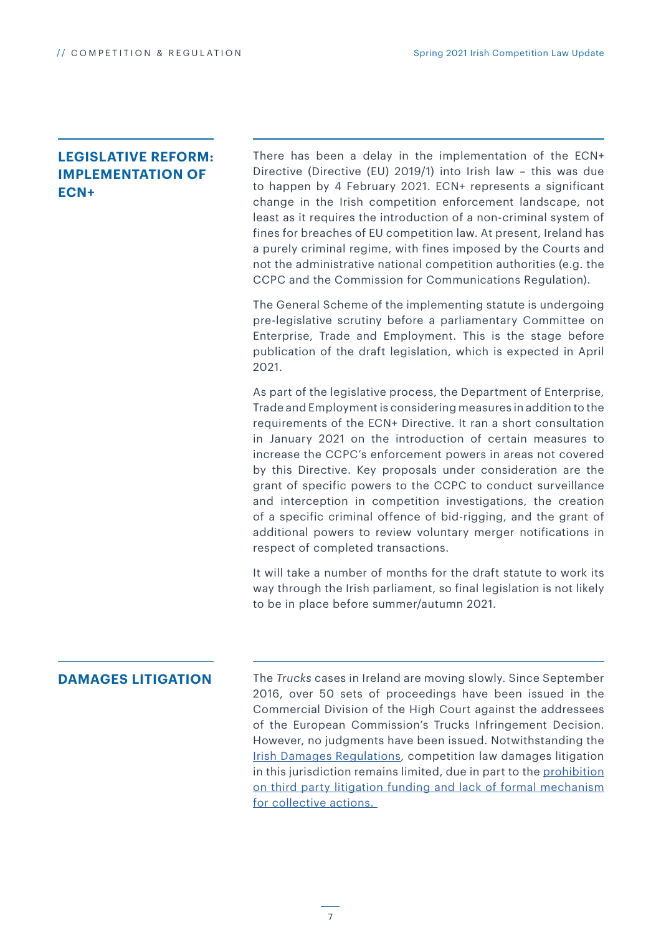### **LEGISLATIVE REFORM: IMPLEMENTATION OF ECN+**

There has been a delay in the implementation of the ECN+ Directive (Directive (EU) 2019/1) into Irish law – this was due to happen by 4 February 2021. ECN+ represents a significant change in the Irish competition enforcement landscape, not least as it requires the introduction of a non-criminal system of fines for breaches of EU competition law. At present, Ireland has a purely criminal regime, with fines imposed by the Courts and not the administrative national competition authorities (e.g. the CCPC and the Commission for Communications Regulation).

The General Scheme of the implementing statute is undergoing pre-legislative scrutiny before a parliamentary Committee on Enterprise, Trade and Employment. This is the stage before publication of the draft legislation, which is expected in April 2021.

As part of the legislative process, the Department of Enterprise, Trade and Employment is considering measures in addition to the requirements of the ECN+ Directive. It ran a short consultation in January 2021 on the introduction of certain measures to increase the CCPC's enforcement powers in areas not covered by this Directive. Key proposals under consideration are the grant of specific powers to the CCPC to conduct surveillance and interception in competition investigations, the creation of a specific criminal offence of bid-rigging, and the grant of additional powers to review voluntary merger notifications in respect of completed transactions.

It will take a number of months for the draft statute to work its way through the Irish parliament, so final legislation is not likely to be in place before summer/autumn 2021.

### **DAMAGES LITIGATION**

The *Trucks* cases in Ireland are moving slowly. Since September 2016, over 50 sets of proceedings have been issued in the Commercial Division of the High Court against the addressees of the European Commission's Trucks Infringement Decision. However, no judgments have been issued. Notwithstanding the [Irish Damages Regulations](https://www.williamfry.com/docs/default-source/practice-area-industry-sector-brochures/damages-directive.pdf?sfvrsn=0), competition law damages litigation in this jurisdiction remains limited, due in part to the [prohibition](https://www.williamfry.com/newsandinsights/news-article/2020/04/23/third-party-litigation-funding-and-class-actions-where-are-we-now?utm_source=vuture&utm_medium=email&utm_campaign=%7bvx:campaign%20name%7d_%7bdate%7d) [on third party litigation funding](https://www.williamfry.com/newsandinsights/news-article/2020/04/23/third-party-litigation-funding-and-class-actions-where-are-we-now?utm_source=vuture&utm_medium=email&utm_campaign=%7bvx:campaign%20name%7d_%7bdate%7d) and lack of form[al mechanism](https://www.williamfry.com/newsandinsights/news-article/2020/04/23/third-party-litigation-funding-and-class-actions-where-are-we-now?utm_source=vuture&utm_medium=email&utm_campaign=%7bvx:campaign%20name%7d_%7bdate%7d) [for collective actions.](https://www.williamfry.com/newsandinsights/news-article/2020/04/23/third-party-litigation-funding-and-class-actions-where-are-we-now?utm_source=vuture&utm_medium=email&utm_campaign=%7bvx:campaign%20name%7d_%7bdate%7d)